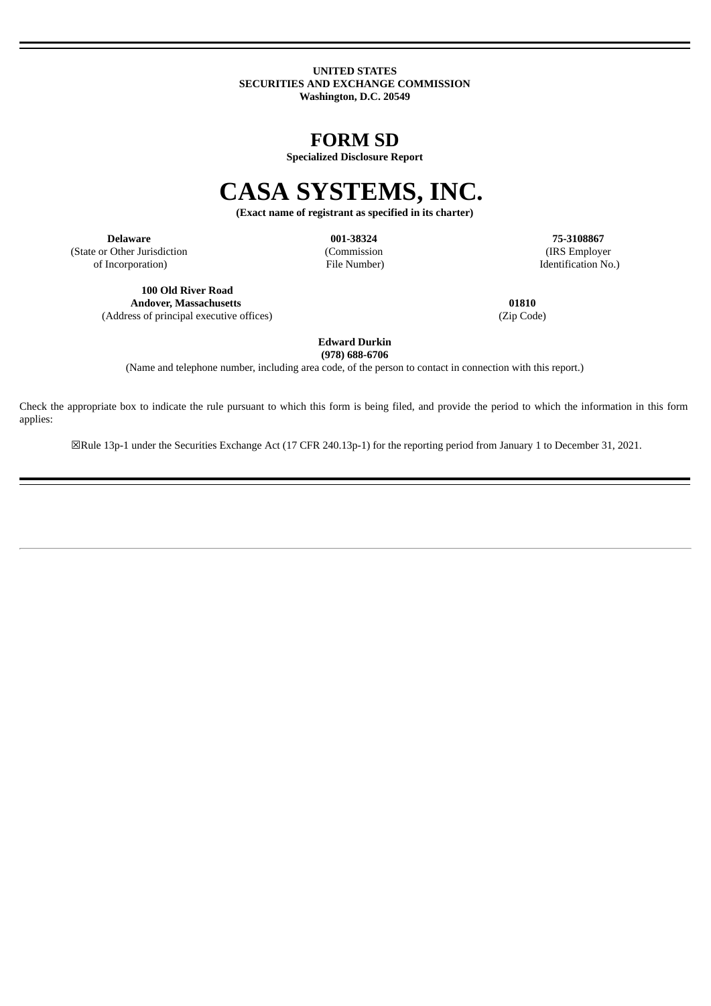**UNITED STATES SECURITIES AND EXCHANGE COMMISSION Washington, D.C. 20549**

**FORM SD**

**Specialized Disclosure Report**

# **CASA SYSTEMS, INC.**

**(Exact name of registrant as specified in its charter)**

**Delaware 001-38324 75-3108867** (State or Other Jurisdiction of Incorporation)

(Commission File Number)

(IRS Employer Identification No.)

**100 Old River Road Andover, Massachusetts** (Address of principal executive offices)

**01810** (Zip Code)

**Edward Durkin (978) 688-6706**

(Name and telephone number, including area code, of the person to contact in connection with this report.)

Check the appropriate box to indicate the rule pursuant to which this form is being filed, and provide the period to which the information in this form applies:

☒Rule 13p-1 under the Securities Exchange Act (17 CFR 240.13p-1) for the reporting period from January 1 to December 31, 2021.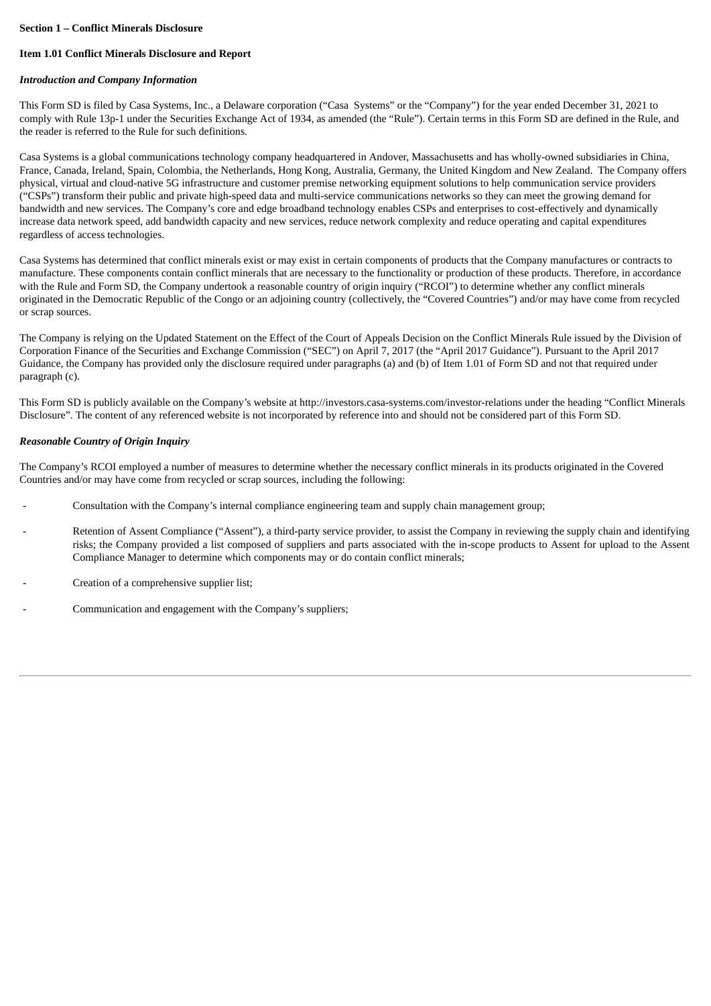# **Section 1 – Conflict Minerals Disclosure**

# **Item 1.01 Conflict Minerals Disclosure and Report**

#### *Introduction and Company Information*

This Form SD is filed by Casa Systems, Inc., a Delaware corporation ("Casa Systems" or the "Company") for the year ended December 31, 2021 to comply with Rule 13p-1 under the Securities Exchange Act of 1934, as amended (the "Rule"). Certain terms in this Form SD are defined in the Rule, and the reader is referred to the Rule for such definitions.

Casa Systems is a global communications technology company headquartered in Andover, Massachusetts and has wholly-owned subsidiaries in China, France, Canada, Ireland, Spain, Colombia, the Netherlands, Hong Kong, Australia, Germany, the United Kingdom and New Zealand. The Company offers physical, virtual and cloud-native 5G infrastructure and customer premise networking equipment solutions to help communication service providers ("CSPs") transform their public and private high-speed data and multi-service communications networks so they can meet the growing demand for bandwidth and new services. The Company's core and edge broadband technology enables CSPs and enterprises to cost-effectively and dynamically increase data network speed, add bandwidth capacity and new services, reduce network complexity and reduce operating and capital expenditures regardless of access technologies.

Casa Systems has determined that conflict minerals exist or may exist in certain components of products that the Company manufactures or contracts to manufacture. These components contain conflict minerals that are necessary to the functionality or production of these products. Therefore, in accordance with the Rule and Form SD, the Company undertook a reasonable country of origin inquiry ("RCOI") to determine whether any conflict minerals originated in the Democratic Republic of the Congo or an adjoining country (collectively, the "Covered Countries") and/or may have come from recycled or scrap sources.

The Company is relying on the Updated Statement on the Effect of the Court of Appeals Decision on the Conflict Minerals Rule issued by the Division of Corporation Finance of the Securities and Exchange Commission ("SEC") on April 7, 2017 (the "April 2017 Guidance"). Pursuant to the April 2017 Guidance, the Company has provided only the disclosure required under paragraphs (a) and (b) of Item 1.01 of Form SD and not that required under paragraph (c).

This Form SD is publicly available on the Company's website at http://investors.casa-systems.com/investor-relations under the heading "Conflict Minerals Disclosure". The content of any referenced website is not incorporated by reference into and should not be considered part of this Form SD.

#### *Reasonable Country of Origin Inquiry*

The Company's RCOI employed a number of measures to determine whether the necessary conflict minerals in its products originated in the Covered Countries and/or may have come from recycled or scrap sources, including the following:

- Consultation with the Company's internal compliance engineering team and supply chain management group;
- Retention of Assent Compliance ("Assent"), a third-party service provider, to assist the Company in reviewing the supply chain and identifying risks; the Company provided a list composed of suppliers and parts associated with the in-scope products to Assent for upload to the Assent Compliance Manager to determine which components may or do contain conflict minerals;
- Creation of a comprehensive supplier list;
- Communication and engagement with the Company's suppliers;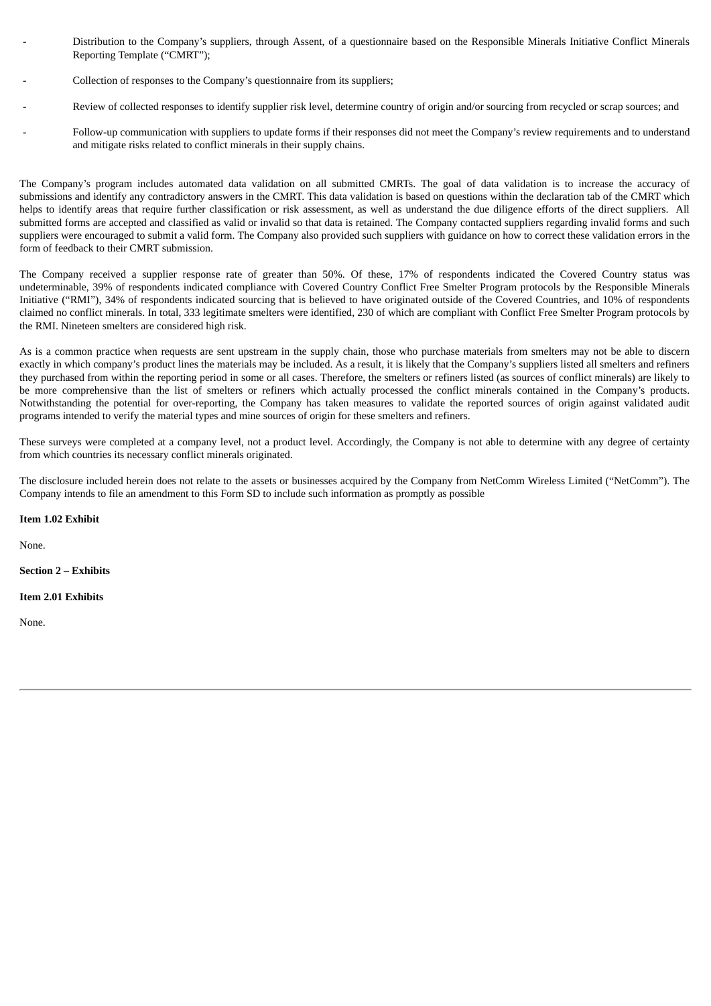- Distribution to the Company's suppliers, through Assent, of a questionnaire based on the Responsible Minerals Initiative Conflict Minerals Reporting Template ("CMRT");
- Collection of responses to the Company's questionnaire from its suppliers;
- Review of collected responses to identify supplier risk level, determine country of origin and/or sourcing from recycled or scrap sources; and
- Follow-up communication with suppliers to update forms if their responses did not meet the Company's review requirements and to understand and mitigate risks related to conflict minerals in their supply chains.

The Company's program includes automated data validation on all submitted CMRTs. The goal of data validation is to increase the accuracy of submissions and identify any contradictory answers in the CMRT. This data validation is based on questions within the declaration tab of the CMRT which helps to identify areas that require further classification or risk assessment, as well as understand the due diligence efforts of the direct suppliers. All submitted forms are accepted and classified as valid or invalid so that data is retained. The Company contacted suppliers regarding invalid forms and such suppliers were encouraged to submit a valid form. The Company also provided such suppliers with guidance on how to correct these validation errors in the form of feedback to their CMRT submission.

The Company received a supplier response rate of greater than 50%. Of these, 17% of respondents indicated the Covered Country status was undeterminable, 39% of respondents indicated compliance with Covered Country Conflict Free Smelter Program protocols by the Responsible Minerals Initiative ("RMI"), 34% of respondents indicated sourcing that is believed to have originated outside of the Covered Countries, and 10% of respondents claimed no conflict minerals. In total, 333 legitimate smelters were identified, 230 of which are compliant with Conflict Free Smelter Program protocols by the RMI. Nineteen smelters are considered high risk.

As is a common practice when requests are sent upstream in the supply chain, those who purchase materials from smelters may not be able to discern exactly in which company's product lines the materials may be included. As a result, it is likely that the Company's suppliers listed all smelters and refiners they purchased from within the reporting period in some or all cases. Therefore, the smelters or refiners listed (as sources of conflict minerals) are likely to be more comprehensive than the list of smelters or refiners which actually processed the conflict minerals contained in the Company's products. Notwithstanding the potential for over-reporting, the Company has taken measures to validate the reported sources of origin against validated audit programs intended to verify the material types and mine sources of origin for these smelters and refiners.

These surveys were completed at a company level, not a product level. Accordingly, the Company is not able to determine with any degree of certainty from which countries its necessary conflict minerals originated.

The disclosure included herein does not relate to the assets or businesses acquired by the Company from NetComm Wireless Limited ("NetComm"). The Company intends to file an amendment to this Form SD to include such information as promptly as possible

**Item 1.02 Exhibit**

None.

**Section 2 – Exhibits**

### **Item 2.01 Exhibits**

None.